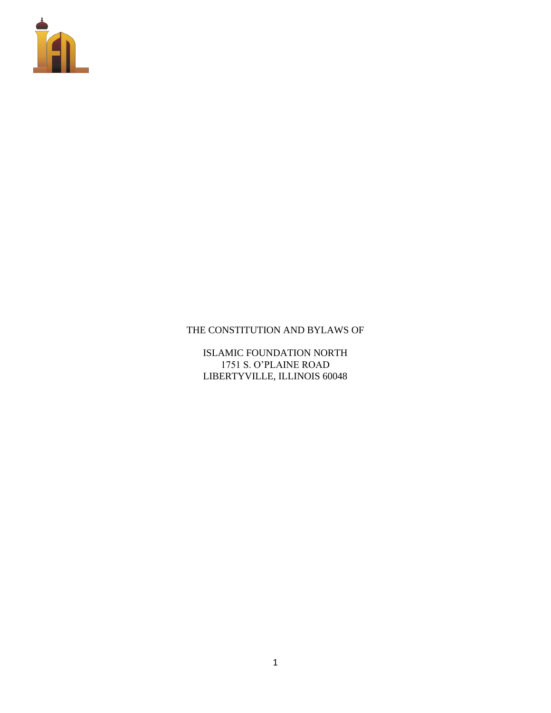

## THE CONSTITUTION AND BYLAWS OF

ISLAMIC FOUNDATION NORTH 1751 S. O'PLAINE ROAD LIBERTYVILLE, ILLINOIS 60048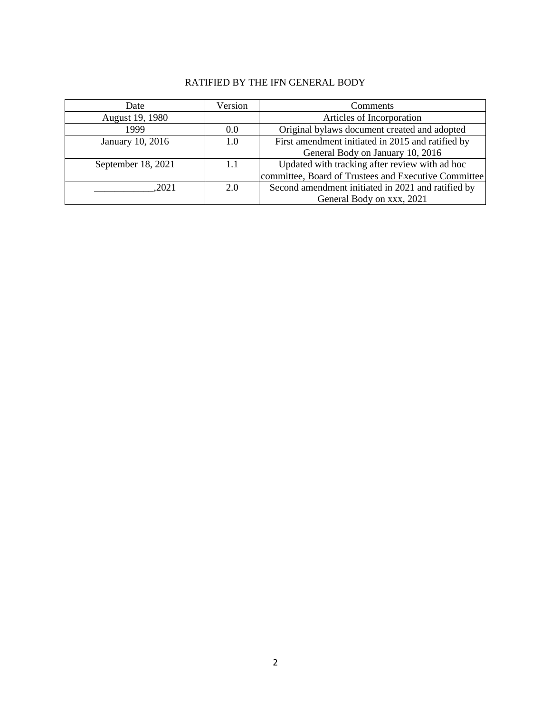## RATIFIED BY THE IFN GENERAL BODY

| Date               | Version | Comments                                             |
|--------------------|---------|------------------------------------------------------|
| August 19, 1980    |         | Articles of Incorporation                            |
| 1999               | 0.0     | Original bylaws document created and adopted         |
| January 10, 2016   | 1.0     | First amendment initiated in 2015 and ratified by    |
|                    |         | General Body on January 10, 2016                     |
| September 18, 2021 | 1.1     | Updated with tracking after review with ad hoc       |
|                    |         | committee, Board of Trustees and Executive Committee |
| .2021              | 2.0     | Second amendment initiated in 2021 and ratified by   |
|                    |         | General Body on xxx, 2021                            |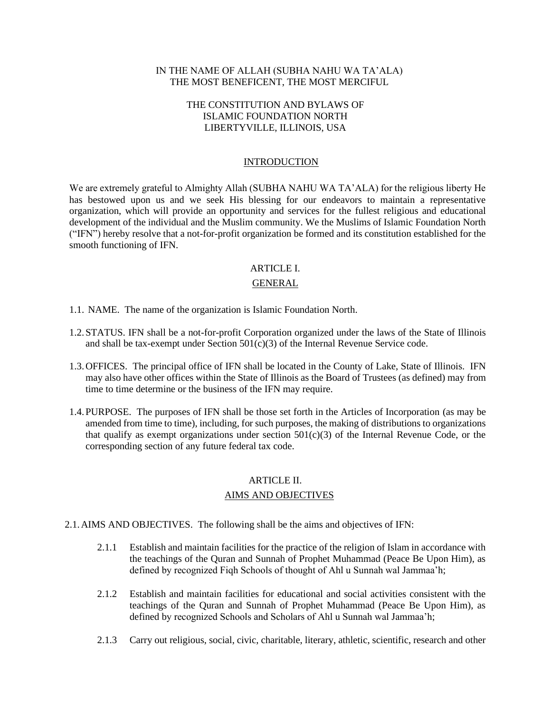### IN THE NAME OF ALLAH (SUBHA NAHU WA TA'ALA) THE MOST BENEFICENT, THE MOST MERCIFUL

## THE CONSTITUTION AND BYLAWS OF ISLAMIC FOUNDATION NORTH LIBERTYVILLE, ILLINOIS, USA

#### **INTRODUCTION**

We are extremely grateful to Almighty Allah (SUBHA NAHU WA TA'ALA) for the religious liberty He has bestowed upon us and we seek His blessing for our endeavors to maintain a representative organization, which will provide an opportunity and services for the fullest religious and educational development of the individual and the Muslim community. We the Muslims of Islamic Foundation North ("IFN") hereby resolve that a not-for-profit organization be formed and its constitution established for the smooth functioning of IFN.

## ARTICLE I.

## GENERAL

- 1.1. NAME. The name of the organization is Islamic Foundation North.
- 1.2.STATUS. IFN shall be a not-for-profit Corporation organized under the laws of the State of Illinois and shall be tax-exempt under Section  $501(c)(3)$  of the Internal Revenue Service code.
- 1.3.OFFICES. The principal office of IFN shall be located in the County of Lake, State of Illinois. IFN may also have other offices within the State of Illinois as the Board of Trustees (as defined) may from time to time determine or the business of the IFN may require.
- 1.4.PURPOSE. The purposes of IFN shall be those set forth in the Articles of Incorporation (as may be amended from time to time), including, for such purposes, the making of distributions to organizations that qualify as exempt organizations under section 501(c)(3) of the Internal Revenue Code, or the corresponding section of any future federal tax code.

## ARTICLE II.

## AIMS AND OBJECTIVES

#### 2.1.AIMS AND OBJECTIVES. The following shall be the aims and objectives of IFN:

- 2.1.1 Establish and maintain facilities for the practice of the religion of Islam in accordance with the teachings of the Quran and Sunnah of Prophet Muhammad (Peace Be Upon Him), as defined by recognized Fiqh Schools of thought of Ahl u Sunnah wal Jammaa'h;
- 2.1.2 Establish and maintain facilities for educational and social activities consistent with the teachings of the Quran and Sunnah of Prophet Muhammad (Peace Be Upon Him), as defined by recognized Schools and Scholars of Ahl u Sunnah wal Jammaa'h;
- 2.1.3 Carry out religious, social, civic, charitable, literary, athletic, scientific, research and other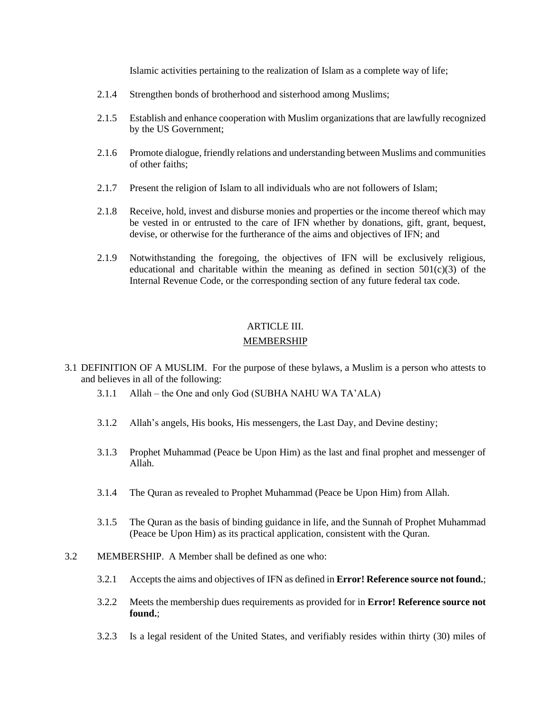Islamic activities pertaining to the realization of Islam as a complete way of life;

- 2.1.4 Strengthen bonds of brotherhood and sisterhood among Muslims;
- 2.1.5 Establish and enhance cooperation with Muslim organizations that are lawfully recognized by the US Government;
- 2.1.6 Promote dialogue, friendly relations and understanding between Muslims and communities of other faiths;
- 2.1.7 Present the religion of Islam to all individuals who are not followers of Islam;
- 2.1.8 Receive, hold, invest and disburse monies and properties or the income thereof which may be vested in or entrusted to the care of IFN whether by donations, gift, grant, bequest, devise, or otherwise for the furtherance of the aims and objectives of IFN; and
- 2.1.9 Notwithstanding the foregoing, the objectives of IFN will be exclusively religious, educational and charitable within the meaning as defined in section  $501(c)(3)$  of the Internal Revenue Code, or the corresponding section of any future federal tax code.

# ARTICLE III.

## MEMBERSHIP

- <span id="page-3-1"></span>3.1 DEFINITION OF A MUSLIM. For the purpose of these bylaws, a Muslim is a person who attests to and believes in all of the following:
	- 3.1.1 Allah the One and only God (SUBHA NAHU WA TA'ALA)
	- 3.1.2 Allah's angels, His books, His messengers, the Last Day, and Devine destiny;
	- 3.1.3 Prophet Muhammad (Peace be Upon Him) as the last and final prophet and messenger of Allah.
	- 3.1.4 The Quran as revealed to Prophet Muhammad (Peace be Upon Him) from Allah.
	- 3.1.5 The Quran as the basis of binding guidance in life, and the Sunnah of Prophet Muhammad (Peace be Upon Him) as its practical application, consistent with the Quran.
- <span id="page-3-2"></span><span id="page-3-0"></span>3.2 MEMBERSHIP. A Member shall be defined as one who:
	- 3.2.1 Accepts the aims and objectives of IFN as defined in **Error! Reference source not found.**;
	- 3.2.2 Meets the membership dues requirements as provided for in **Error! Reference source not found.**;
	- 3.2.3 Is a legal resident of the United States, and verifiably resides within thirty (30) miles of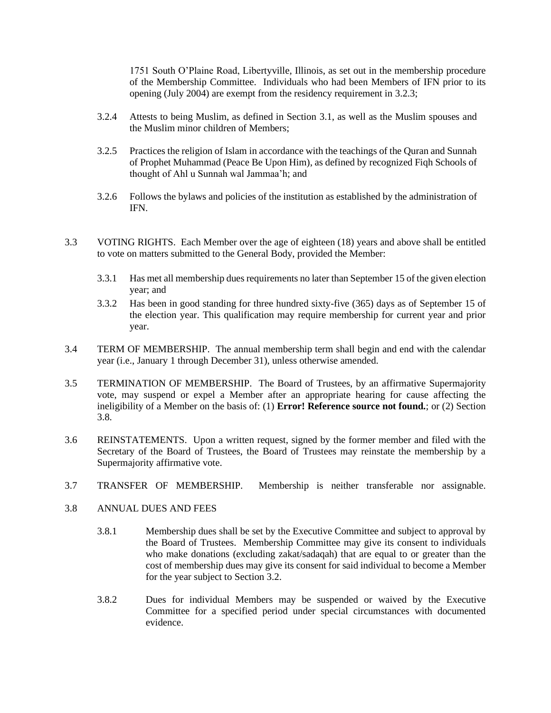1751 South O'Plaine Road, Libertyville, Illinois, as set out in the membership procedure of the Membership Committee. Individuals who had been Members of IFN prior to its opening (July 2004) are exempt from the residency requirement in [3.2.3;](#page-3-0)

- 3.2.4 Attests to being Muslim, as defined in Section [3.1,](#page-3-1) as well as the Muslim spouses and the Muslim minor children of Members;
- 3.2.5 Practices the religion of Islam in accordance with the teachings of the Quran and Sunnah of Prophet Muhammad (Peace Be Upon Him), as defined by recognized Fiqh Schools of thought of Ahl u Sunnah wal Jammaa'h; and
- 3.2.6 Follows the bylaws and policies of the institution as established by the administration of IFN.
- 3.3 VOTING RIGHTS. Each Member over the age of eighteen (18) years and above shall be entitled to vote on matters submitted to the General Body, provided the Member:
	- 3.3.1 Has met all membership dues requirements no later than September 15 of the given election year; and
	- 3.3.2 Has been in good standing for three hundred sixty-five (365) days as of September 15 of the election year. This qualification may require membership for current year and prior year.
- <span id="page-4-2"></span>3.4 TERM OF MEMBERSHIP. The annual membership term shall begin and end with the calendar year (i.e., January 1 through December 31), unless otherwise amended.
- 3.5 TERMINATION OF MEMBERSHIP. The Board of Trustees, by an affirmative Supermajority vote, may suspend or expel a Member after an appropriate hearing for cause affecting the ineligibility of a Member on the basis of: (1) **Error! Reference source not found.**; or (2) Section [3.8.](#page-4-0)
- 3.6 REINSTATEMENTS. Upon a written request, signed by the former member and filed with the Secretary of the Board of Trustees, the Board of Trustees may reinstate the membership by a Supermajority affirmative vote.
- 3.7 TRANSFER OF MEMBERSHIP. Membership is neither transferable nor assignable.
- <span id="page-4-1"></span><span id="page-4-0"></span>3.8 ANNUAL DUES AND FEES
	- 3.8.1 Membership dues shall be set by the Executive Committee and subject to approval by the Board of Trustees. Membership Committee may give its consent to individuals who make donations (excluding zakat/sadaqah) that are equal to or greater than the cost of membership dues may give its consent for said individual to become a Member for the year subject to Section [3.2.](#page-3-2)
	- 3.8.2 Dues for individual Members may be suspended or waived by the Executive Committee for a specified period under special circumstances with documented evidence.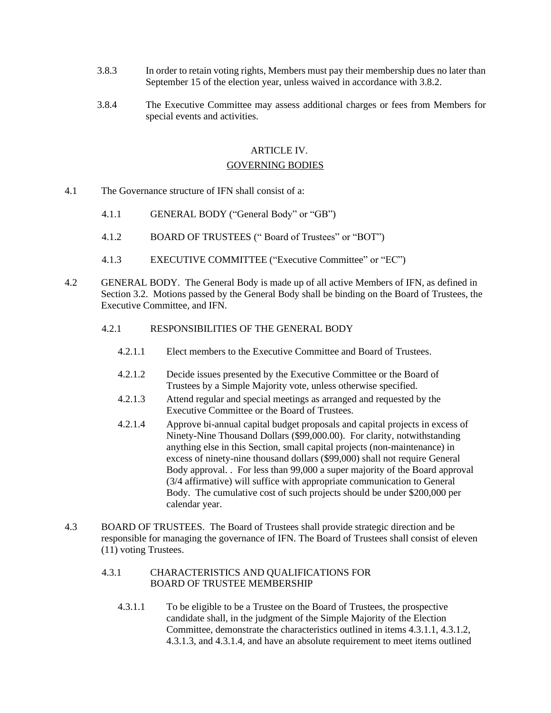- 3.8.3 In order to retain voting rights, Members must pay their membership dues no later than September 15 of the election year, unless waived in accordance with [3.8.2.](#page-4-1)
- 3.8.4 The Executive Committee may assess additional charges or fees from Members for special events and activities.

## ARTICLE IV.

#### GOVERNING BODIES

- 4.1 The Governance structure of IFN shall consist of a:
	- 4.1.1 GENERAL BODY ("General Body" or "GB")
	- 4.1.2 BOARD OF TRUSTEES (" Board of Trustees" or "BOT")
	- 4.1.3 EXECUTIVE COMMITTEE ("Executive Committee" or "EC")
- 4.2 GENERAL BODY. The General Body is made up of all active Members of IFN, as defined in Section 3.2. Motions passed by the General Body shall be binding on the Board of Trustees, the Executive Committee, and IFN.

## 4.2.1 RESPONSIBILITIES OF THE GENERAL BODY

- 4.2.1.1 Elect members to the Executive Committee and Board of Trustees.
- 4.2.1.2 Decide issues presented by the Executive Committee or the Board of Trustees by a Simple Majority vote, unless otherwise specified.
- 4.2.1.3 Attend regular and special meetings as arranged and requested by the Executive Committee or the Board of Trustees.
- 4.2.1.4 Approve bi-annual capital budget proposals and capital projects in excess of Ninety-Nine Thousand Dollars (\$99,000.00). For clarity, notwithstanding anything else in this Section, small capital projects (non-maintenance) in excess of ninety-nine thousand dollars (\$99,000) shall not require General Body approval. . For less than 99,000 a super majority of the Board approval (3/4 affirmative) will suffice with appropriate communication to General Body. The cumulative cost of such projects should be under \$200,000 per calendar year.
- 4.3 BOARD OF TRUSTEES. The Board of Trustees shall provide strategic direction and be responsible for managing the governance of IFN. The Board of Trustees shall consist of eleven (11) voting Trustees.

## 4.3.1 CHARACTERISTICS AND QUALIFICATIONS FOR BOARD OF TRUSTEE MEMBERSHIP

4.3.1.1 To be eligible to be a Trustee on the Board of Trustees, the prospective candidate shall, in the judgment of the Simple Majority of the Election Committee, demonstrate the characteristics outlined in items 4.3.1.1, 4.3.1.2, 4.3.1.3, and 4.3.1.4, and have an absolute requirement to meet items outlined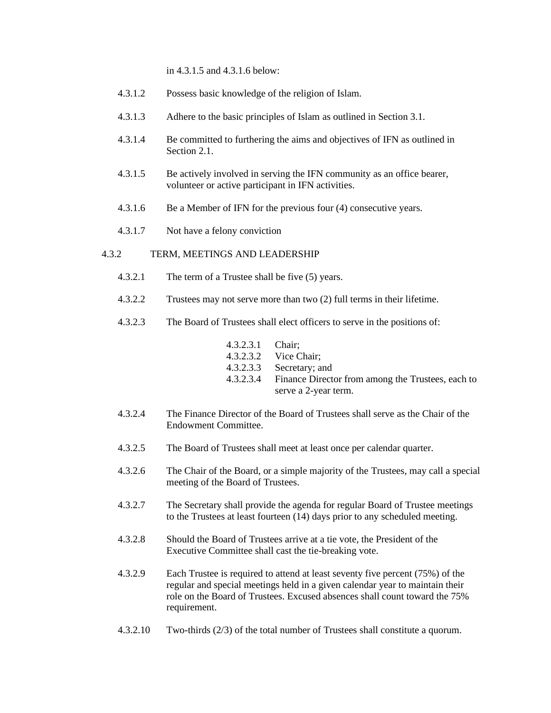in 4.3.1.5 and 4.3.1.6 below:

| 4.3.1.2 |  | Possess basic knowledge of the religion of Islam. |  |  |
|---------|--|---------------------------------------------------|--|--|
|         |  |                                                   |  |  |

- 4.3.1.3 Adhere to the basic principles of Islam as outlined in Section 3.1.
- 4.3.1.4 Be committed to furthering the aims and objectives of IFN as outlined in Section 2.1.
- 4.3.1.5 Be actively involved in serving the IFN community as an office bearer, volunteer or active participant in IFN activities.
- 4.3.1.6 Be a Member of IFN for the previous four (4) consecutive years.
- 4.3.1.7 Not have a felony conviction

## 4.3.2 TERM, MEETINGS AND LEADERSHIP

- 4.3.2.1 The term of a Trustee shall be five (5) years.
- 4.3.2.2 Trustees may not serve more than two (2) full terms in their lifetime.
- 4.3.2.3 The Board of Trustees shall elect officers to serve in the positions of:

| 4.3.2.3.1 Chair; |                                                   |
|------------------|---------------------------------------------------|
|                  | 4.3.2.3.2 Vice Chair;                             |
|                  | 4.3.2.3.3 Secretary; and                          |
| 4.3.2.3.4        | Finance Director from among the Trustees, each to |
|                  | serve a 2-year term.                              |

- 4.3.2.4 The Finance Director of the Board of Trustees shall serve as the Chair of the Endowment Committee.
- 4.3.2.5 The Board of Trustees shall meet at least once per calendar quarter.
- 4.3.2.6 The Chair of the Board, or a simple majority of the Trustees, may call a special meeting of the Board of Trustees.
- 4.3.2.7 The Secretary shall provide the agenda for regular Board of Trustee meetings to the Trustees at least fourteen (14) days prior to any scheduled meeting.
- 4.3.2.8 Should the Board of Trustees arrive at a tie vote, the President of the Executive Committee shall cast the tie-breaking vote.
- 4.3.2.9 Each Trustee is required to attend at least seventy five percent (75%) of the regular and special meetings held in a given calendar year to maintain their role on the Board of Trustees. Excused absences shall count toward the 75% requirement.
- 4.3.2.10 Two-thirds (2/3) of the total number of Trustees shall constitute a quorum.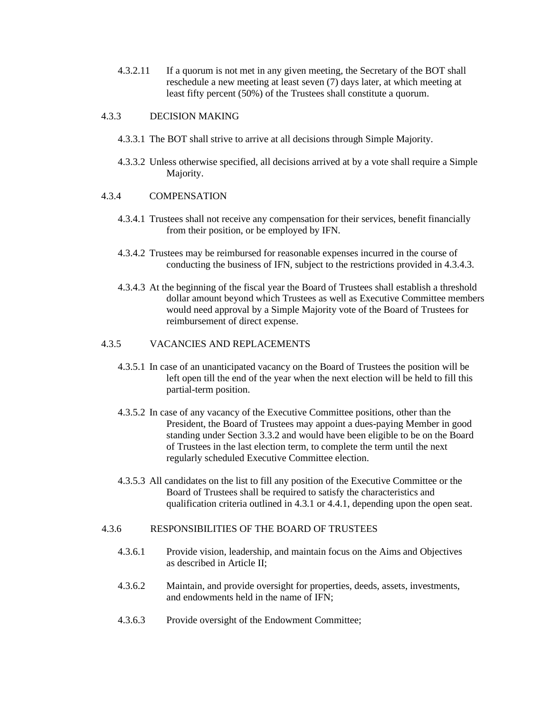4.3.2.11 If a quorum is not met in any given meeting, the Secretary of the BOT shall reschedule a new meeting at least seven (7) days later, at which meeting at least fifty percent (50%) of the Trustees shall constitute a quorum.

## 4.3.3 DECISION MAKING

- 4.3.3.1 The BOT shall strive to arrive at all decisions through Simple Majority.
- 4.3.3.2 Unless otherwise specified, all decisions arrived at by a vote shall require a Simple Majority.

## 4.3.4 COMPENSATION

- 4.3.4.1 Trustees shall not receive any compensation for their services, benefit financially from their position, or be employed by IFN.
- 4.3.4.2 Trustees may be reimbursed for reasonable expenses incurred in the course of conducting the business of IFN, subject to the restrictions provided in 4.3.4.3.
- 4.3.4.3 At the beginning of the fiscal year the Board of Trustees shall establish a threshold dollar amount beyond which Trustees as well as Executive Committee members would need approval by a Simple Majority vote of the Board of Trustees for reimbursement of direct expense.

## 4.3.5 VACANCIES AND REPLACEMENTS

- 4.3.5.1 In case of an unanticipated vacancy on the Board of Trustees the position will be left open till the end of the year when the next election will be held to fill this partial-term position.
- 4.3.5.2 In case of any vacancy of the Executive Committee positions, other than the President, the Board of Trustees may appoint a dues-paying Member in good standing under Section [3.3.2](#page-4-2) and would have been eligible to be on the Board of Trustees in the last election term, to complete the term until the next regularly scheduled Executive Committee election.
- 4.3.5.3 All candidates on the list to fill any position of the Executive Committee or the Board of Trustees shall be required to satisfy the characteristics and qualification criteria outlined in 4.3.1 or 4.4.1, depending upon the open seat.

### 4.3.6 RESPONSIBILITIES OF THE BOARD OF TRUSTEES

- 4.3.6.1 Provide vision, leadership, and maintain focus on the Aims and Objectives as described in Article II;
- 4.3.6.2 Maintain, and provide oversight for properties, deeds, assets, investments, and endowments held in the name of IFN;
- 4.3.6.3 Provide oversight of the Endowment Committee;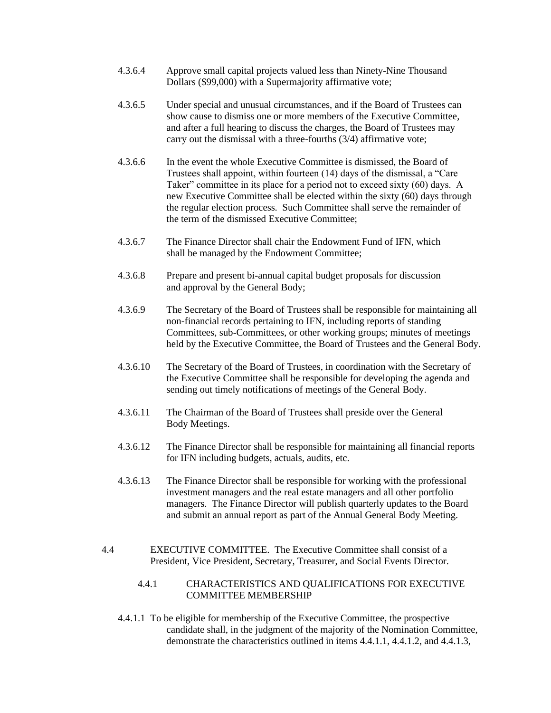- 4.3.6.4 Approve small capital projects valued less than Ninety-Nine Thousand Dollars (\$99,000) with a Supermajority affirmative vote;
- 4.3.6.5 Under special and unusual circumstances, and if the Board of Trustees can show cause to dismiss one or more members of the Executive Committee, and after a full hearing to discuss the charges, the Board of Trustees may carry out the dismissal with a three-fourths (3/4) affirmative vote;
- 4.3.6.6 In the event the whole Executive Committee is dismissed, the Board of Trustees shall appoint, within fourteen (14) days of the dismissal, a "Care Taker" committee in its place for a period not to exceed sixty (60) days. A new Executive Committee shall be elected within the sixty (60) days through the regular election process. Such Committee shall serve the remainder of the term of the dismissed Executive Committee;
- 4.3.6.7 The Finance Director shall chair the Endowment Fund of IFN, which shall be managed by the Endowment Committee;
- 4.3.6.8 Prepare and present bi-annual capital budget proposals for discussion and approval by the General Body;
- 4.3.6.9 The Secretary of the Board of Trustees shall be responsible for maintaining all non-financial records pertaining to IFN, including reports of standing Committees, sub-Committees, or other working groups; minutes of meetings held by the Executive Committee, the Board of Trustees and the General Body.
- 4.3.6.10 The Secretary of the Board of Trustees, in coordination with the Secretary of the Executive Committee shall be responsible for developing the agenda and sending out timely notifications of meetings of the General Body.
- 4.3.6.11 The Chairman of the Board of Trustees shall preside over the General Body Meetings.
- 4.3.6.12 The Finance Director shall be responsible for maintaining all financial reports for IFN including budgets, actuals, audits, etc.
- 4.3.6.13 The Finance Director shall be responsible for working with the professional investment managers and the real estate managers and all other portfolio managers. The Finance Director will publish quarterly updates to the Board and submit an annual report as part of the Annual General Body Meeting.
- 4.4 EXECUTIVE COMMITTEE. The Executive Committee shall consist of a President, Vice President, Secretary, Treasurer, and Social Events Director.
	- 4.4.1 CHARACTERISTICS AND QUALIFICATIONS FOR EXECUTIVE COMMITTEE MEMBERSHIP
	- 4.4.1.1 To be eligible for membership of the Executive Committee, the prospective candidate shall, in the judgment of the majority of the Nomination Committee, demonstrate the characteristics outlined in items 4.4.1.1, 4.4.1.2, and 4.4.1.3,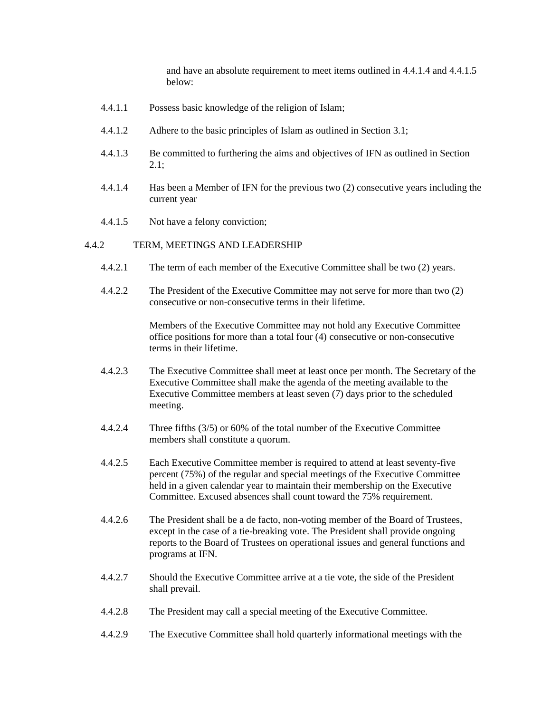and have an absolute requirement to meet items outlined in 4.4.1.4 and 4.4.1.5 below:

- 4.4.1.1 Possess basic knowledge of the religion of Islam;
- 4.4.1.2 Adhere to the basic principles of Islam as outlined in Section 3.1;
- 4.4.1.3 Be committed to furthering the aims and objectives of IFN as outlined in Section 2.1;
- 4.4.1.4 Has been a Member of IFN for the previous two (2) consecutive years including the current year
- 4.4.1.5 Not have a felony conviction;

#### 4.4.2 TERM, MEETINGS AND LEADERSHIP

- 4.4.2.1 The term of each member of the Executive Committee shall be two (2) years.
- 4.4.2.2 The President of the Executive Committee may not serve for more than two (2) consecutive or non-consecutive terms in their lifetime.

Members of the Executive Committee may not hold any Executive Committee office positions for more than a total four (4) consecutive or non-consecutive terms in their lifetime.

- 4.4.2.3 The Executive Committee shall meet at least once per month. The Secretary of the Executive Committee shall make the agenda of the meeting available to the Executive Committee members at least seven (7) days prior to the scheduled meeting.
- 4.4.2.4 Three fifths (3/5) or 60% of the total number of the Executive Committee members shall constitute a quorum.
- 4.4.2.5 Each Executive Committee member is required to attend at least seventy-five percent (75%) of the regular and special meetings of the Executive Committee held in a given calendar year to maintain their membership on the Executive Committee. Excused absences shall count toward the 75% requirement.
- 4.4.2.6 The President shall be a de facto, non-voting member of the Board of Trustees, except in the case of a tie-breaking vote. The President shall provide ongoing reports to the Board of Trustees on operational issues and general functions and programs at IFN.
- 4.4.2.7 Should the Executive Committee arrive at a tie vote, the side of the President shall prevail.
- 4.4.2.8 The President may call a special meeting of the Executive Committee.
- 4.4.2.9 The Executive Committee shall hold quarterly informational meetings with the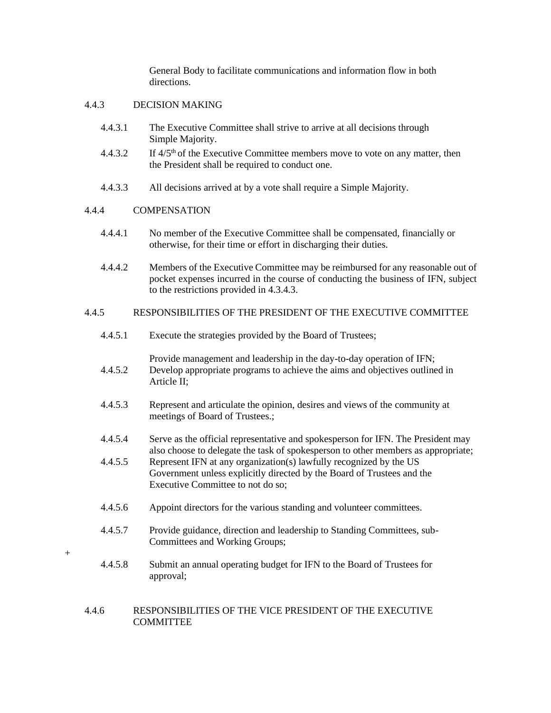General Body to facilitate communications and information flow in both directions.

## 4.4.3 DECISION MAKING

- 4.4.3.1 The Executive Committee shall strive to arrive at all decisions through Simple Majority.
- 4.4.3.2 If 4/5th of the Executive Committee members move to vote on any matter, then the President shall be required to conduct one.
- 4.4.3.3 All decisions arrived at by a vote shall require a Simple Majority.

## 4.4.4 COMPENSATION

- 4.4.4.1 No member of the Executive Committee shall be compensated, financially or otherwise, for their time or effort in discharging their duties.
- 4.4.4.2 Members of the Executive Committee may be reimbursed for any reasonable out of pocket expenses incurred in the course of conducting the business of IFN, subject to the restrictions provided in 4.3.4.3.

## 4.4.5 RESPONSIBILITIES OF THE PRESIDENT OF THE EXECUTIVE COMMITTEE

- 4.4.5.1 Execute the strategies provided by the Board of Trustees;
- Provide management and leadership in the day-to-day operation of IFN; 4.4.5.2 Develop appropriate programs to achieve the aims and objectives outlined in Article II;
- 4.4.5.3 Represent and articulate the opinion, desires and views of the community at meetings of Board of Trustees.;
- 4.4.5.4 Serve as the official representative and spokesperson for IFN. The President may also choose to delegate the task of spokesperson to other members as appropriate;
- 4.4.5.5 Represent IFN at any organization(s) lawfully recognized by the US Government unless explicitly directed by the Board of Trustees and the Executive Committee to not do so;
- 4.4.5.6 Appoint directors for the various standing and volunteer committees.
- 4.4.5.7 Provide guidance, direction and leadership to Standing Committees, sub-Committees and Working Groups;
- +
- 4.4.5.8 Submit an annual operating budget for IFN to the Board of Trustees for approval;

## 4.4.6 RESPONSIBILITIES OF THE VICE PRESIDENT OF THE EXECUTIVE **COMMITTEE**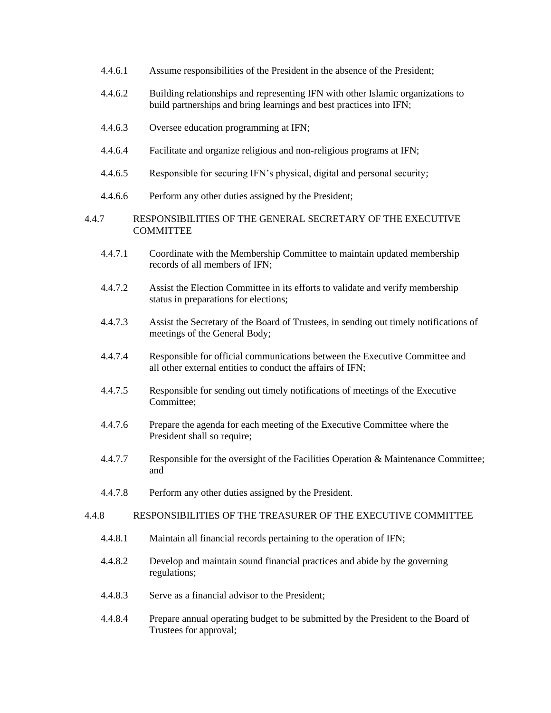|       | 4.4.6.1 | Assume responsibilities of the President in the absence of the President;                                                                              |
|-------|---------|--------------------------------------------------------------------------------------------------------------------------------------------------------|
|       | 4.4.6.2 | Building relationships and representing IFN with other Islamic organizations to<br>build partnerships and bring learnings and best practices into IFN; |
|       | 4.4.6.3 | Oversee education programming at IFN;                                                                                                                  |
|       | 4.4.6.4 | Facilitate and organize religious and non-religious programs at IFN;                                                                                   |
|       | 4.4.6.5 | Responsible for securing IFN's physical, digital and personal security;                                                                                |
|       | 4.4.6.6 | Perform any other duties assigned by the President;                                                                                                    |
| 4.4.7 |         | RESPONSIBILITIES OF THE GENERAL SECRETARY OF THE EXECUTIVE<br><b>COMMITTEE</b>                                                                         |
|       | 4.4.7.1 | Coordinate with the Membership Committee to maintain updated membership<br>records of all members of IFN;                                              |
|       | 4.4.7.2 | Assist the Election Committee in its efforts to validate and verify membership<br>status in preparations for elections;                                |
|       | 4.4.7.3 | Assist the Secretary of the Board of Trustees, in sending out timely notifications of<br>meetings of the General Body;                                 |
|       | 4.4.7.4 | Responsible for official communications between the Executive Committee and<br>all other external entities to conduct the affairs of IFN;              |
|       | 4.4.7.5 | Responsible for sending out timely notifications of meetings of the Executive<br>Committee;                                                            |
|       | 4.4.7.6 | Prepare the agenda for each meeting of the Executive Committee where the<br>President shall so require;                                                |
|       | 4.4.7.7 | Responsible for the oversight of the Facilities Operation & Maintenance Committee;<br>and                                                              |
|       | 4.4.7.8 | Perform any other duties assigned by the President.                                                                                                    |
| 4.4.8 |         | RESPONSIBILITIES OF THE TREASURER OF THE EXECUTIVE COMMITTEE                                                                                           |
|       | 4.4.8.1 | Maintain all financial records pertaining to the operation of IFN;                                                                                     |
|       | 4.4.8.2 | Develop and maintain sound financial practices and abide by the governing<br>regulations;                                                              |
|       | 4.4.8.3 | Serve as a financial advisor to the President;                                                                                                         |
|       | 4.4.8.4 | Prepare annual operating budget to be submitted by the President to the Board of<br>Trustees for approval;                                             |
|       |         |                                                                                                                                                        |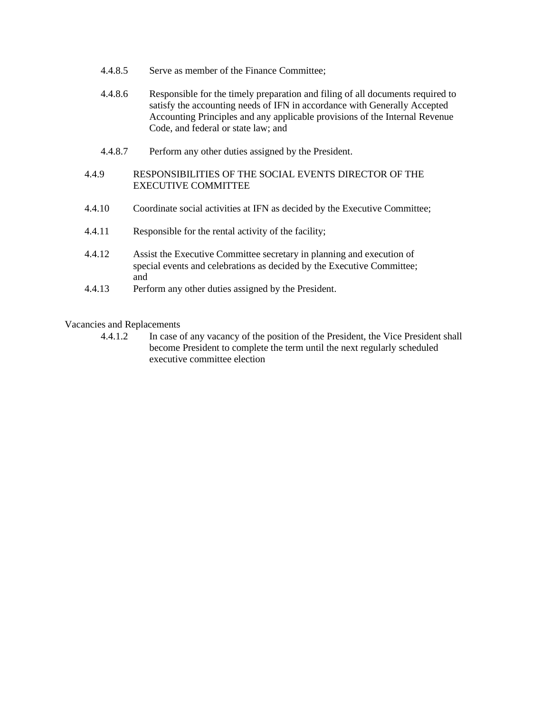- 4.4.8.5 Serve as member of the Finance Committee;
- 4.4.8.6 Responsible for the timely preparation and filing of all documents required to satisfy the accounting needs of IFN in accordance with Generally Accepted Accounting Principles and any applicable provisions of the Internal Revenue Code, and federal or state law; and
- 4.4.8.7 Perform any other duties assigned by the President.

## 4.4.9 RESPONSIBILITIES OF THE SOCIAL EVENTS DIRECTOR OF THE EXECUTIVE COMMITTEE

- 4.4.10 Coordinate social activities at IFN as decided by the Executive Committee;
- 4.4.11 Responsible for the rental activity of the facility;
- 4.4.12 Assist the Executive Committee secretary in planning and execution of special events and celebrations as decided by the Executive Committee; and
- 4.4.13 Perform any other duties assigned by the President.

Vacancies and Replacements

4.4.1.2 In case of any vacancy of the position of the President, the Vice President shall become President to complete the term until the next regularly scheduled executive committee election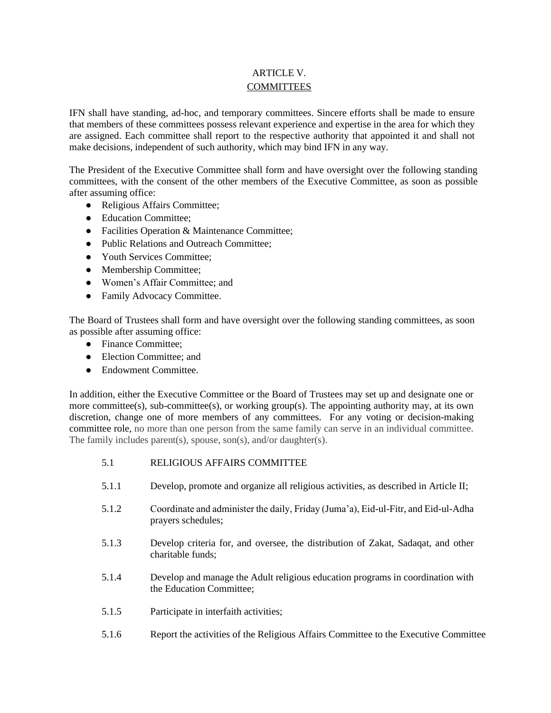## ARTICLE V. **COMMITTEES**

IFN shall have standing, ad-hoc, and temporary committees. Sincere efforts shall be made to ensure that members of these committees possess relevant experience and expertise in the area for which they are assigned. Each committee shall report to the respective authority that appointed it and shall not make decisions, independent of such authority, which may bind IFN in any way.

The President of the Executive Committee shall form and have oversight over the following standing committees, with the consent of the other members of the Executive Committee, as soon as possible after assuming office:

- Religious Affairs Committee;
- Education Committee;
- Facilities Operation & Maintenance Committee;
- Public Relations and Outreach Committee:
- Youth Services Committee:
- Membership Committee;
- Women's Affair Committee; and
- Family Advocacy Committee.

The Board of Trustees shall form and have oversight over the following standing committees, as soon as possible after assuming office:

- Finance Committee:
- Election Committee; and
- Endowment Committee.

In addition, either the Executive Committee or the Board of Trustees may set up and designate one or more committee(s), sub-committee(s), or working group(s). The appointing authority may, at its own discretion, change one of more members of any committees. For any voting or decision-making committee role, no more than one person from the same family can serve in an individual committee. The family includes parent(s), spouse, son(s), and/or daughter(s).

- 5.1 RELIGIOUS AFFAIRS COMMITTEE
- 5.1.1 Develop, promote and organize all religious activities, as described in Article II;
- 5.1.2 Coordinate and administer the daily, Friday (Juma'a), Eid-ul-Fitr, and Eid-ul-Adha prayers schedules;
- 5.1.3 Develop criteria for, and oversee, the distribution of Zakat, Sadaqat, and other charitable funds;
- 5.1.4 Develop and manage the Adult religious education programs in coordination with the Education Committee;
- 5.1.5 Participate in interfaith activities;
- 5.1.6 Report the activities of the Religious Affairs Committee to the Executive Committee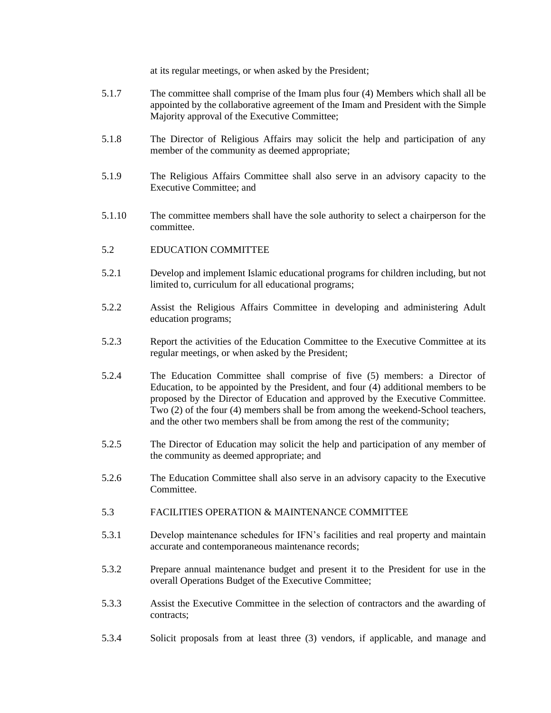at its regular meetings, or when asked by the President;

- 5.1.7 The committee shall comprise of the Imam plus four (4) Members which shall all be appointed by the collaborative agreement of the Imam and President with the Simple Majority approval of the Executive Committee;
- 5.1.8 The Director of Religious Affairs may solicit the help and participation of any member of the community as deemed appropriate;
- 5.1.9 The Religious Affairs Committee shall also serve in an advisory capacity to the Executive Committee; and
- 5.1.10 The committee members shall have the sole authority to select a chairperson for the committee.
- 5.2 EDUCATION COMMITTEE
- 5.2.1 Develop and implement Islamic educational programs for children including, but not limited to, curriculum for all educational programs;
- 5.2.2 Assist the Religious Affairs Committee in developing and administering Adult education programs;
- 5.2.3 Report the activities of the Education Committee to the Executive Committee at its regular meetings, or when asked by the President;
- 5.2.4 The Education Committee shall comprise of five (5) members: a Director of Education, to be appointed by the President, and four (4) additional members to be proposed by the Director of Education and approved by the Executive Committee. Two (2) of the four (4) members shall be from among the weekend-School teachers, and the other two members shall be from among the rest of the community;
- 5.2.5 The Director of Education may solicit the help and participation of any member of the community as deemed appropriate; and
- 5.2.6 The Education Committee shall also serve in an advisory capacity to the Executive Committee.
- 5.3 FACILITIES OPERATION & MAINTENANCE COMMITTEE
- 5.3.1 Develop maintenance schedules for IFN's facilities and real property and maintain accurate and contemporaneous maintenance records;
- 5.3.2 Prepare annual maintenance budget and present it to the President for use in the overall Operations Budget of the Executive Committee;
- 5.3.3 Assist the Executive Committee in the selection of contractors and the awarding of contracts;
- 5.3.4 Solicit proposals from at least three (3) vendors, if applicable, and manage and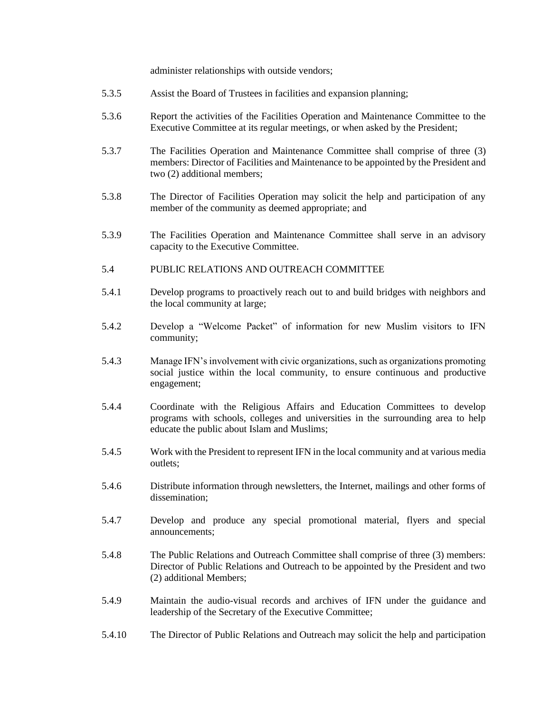administer relationships with outside vendors;

- 5.3.5 Assist the Board of Trustees in facilities and expansion planning;
- 5.3.6 Report the activities of the Facilities Operation and Maintenance Committee to the Executive Committee at its regular meetings, or when asked by the President;
- 5.3.7 The Facilities Operation and Maintenance Committee shall comprise of three (3) members: Director of Facilities and Maintenance to be appointed by the President and two (2) additional members;
- 5.3.8 The Director of Facilities Operation may solicit the help and participation of any member of the community as deemed appropriate; and
- 5.3.9 The Facilities Operation and Maintenance Committee shall serve in an advisory capacity to the Executive Committee.
- 5.4 PUBLIC RELATIONS AND OUTREACH COMMITTEE
- 5.4.1 Develop programs to proactively reach out to and build bridges with neighbors and the local community at large;
- 5.4.2 Develop a "Welcome Packet" of information for new Muslim visitors to IFN community;
- 5.4.3 Manage IFN's involvement with civic organizations, such as organizations promoting social justice within the local community, to ensure continuous and productive engagement;
- 5.4.4 Coordinate with the Religious Affairs and Education Committees to develop programs with schools, colleges and universities in the surrounding area to help educate the public about Islam and Muslims;
- 5.4.5 Work with the President to represent IFN in the local community and at various media outlets;
- 5.4.6 Distribute information through newsletters, the Internet, mailings and other forms of dissemination;
- 5.4.7 Develop and produce any special promotional material, flyers and special announcements;
- 5.4.8 The Public Relations and Outreach Committee shall comprise of three (3) members: Director of Public Relations and Outreach to be appointed by the President and two (2) additional Members;
- 5.4.9 Maintain the audio-visual records and archives of IFN under the guidance and leadership of the Secretary of the Executive Committee;
- 5.4.10 The Director of Public Relations and Outreach may solicit the help and participation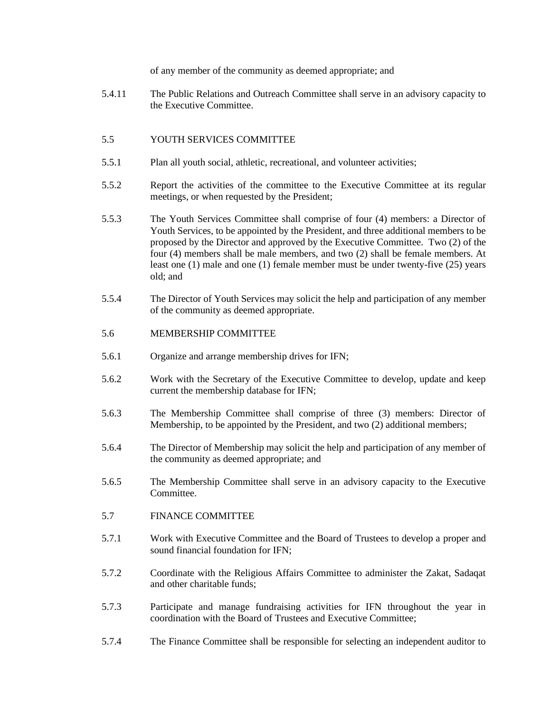of any member of the community as deemed appropriate; and

5.4.11 The Public Relations and Outreach Committee shall serve in an advisory capacity to the Executive Committee.

## 5.5 YOUTH SERVICES COMMITTEE

- 5.5.1 Plan all youth social, athletic, recreational, and volunteer activities;
- 5.5.2 Report the activities of the committee to the Executive Committee at its regular meetings, or when requested by the President;
- 5.5.3 The Youth Services Committee shall comprise of four (4) members: a Director of Youth Services, to be appointed by the President, and three additional members to be proposed by the Director and approved by the Executive Committee. Two (2) of the four (4) members shall be male members, and two (2) shall be female members. At least one (1) male and one (1) female member must be under twenty-five (25) years old; and
- 5.5.4 The Director of Youth Services may solicit the help and participation of any member of the community as deemed appropriate.

## 5.6 MEMBERSHIP COMMITTEE

- 5.6.1 Organize and arrange membership drives for IFN;
- 5.6.2 Work with the Secretary of the Executive Committee to develop, update and keep current the membership database for IFN;
- 5.6.3 The Membership Committee shall comprise of three (3) members: Director of Membership, to be appointed by the President, and two (2) additional members;
- 5.6.4 The Director of Membership may solicit the help and participation of any member of the community as deemed appropriate; and
- 5.6.5 The Membership Committee shall serve in an advisory capacity to the Executive Committee.
- 5.7 FINANCE COMMITTEE
- 5.7.1 Work with Executive Committee and the Board of Trustees to develop a proper and sound financial foundation for IFN;
- 5.7.2 Coordinate with the Religious Affairs Committee to administer the Zakat, Sadaqat and other charitable funds;
- 5.7.3 Participate and manage fundraising activities for IFN throughout the year in coordination with the Board of Trustees and Executive Committee;
- 5.7.4 The Finance Committee shall be responsible for selecting an independent auditor to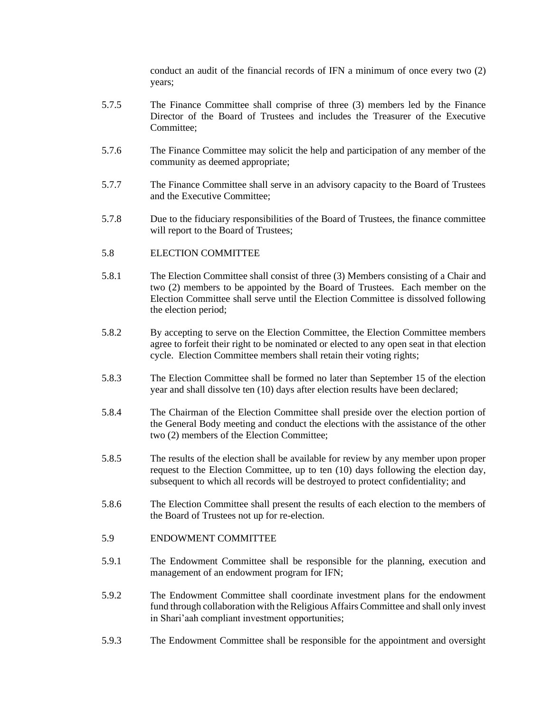conduct an audit of the financial records of IFN a minimum of once every two (2) years;

- 5.7.5 The Finance Committee shall comprise of three (3) members led by the Finance Director of the Board of Trustees and includes the Treasurer of the Executive Committee;
- 5.7.6 The Finance Committee may solicit the help and participation of any member of the community as deemed appropriate;
- 5.7.7 The Finance Committee shall serve in an advisory capacity to the Board of Trustees and the Executive Committee;
- 5.7.8 Due to the fiduciary responsibilities of the Board of Trustees, the finance committee will report to the Board of Trustees;

#### 5.8 ELECTION COMMITTEE

- 5.8.1 The Election Committee shall consist of three (3) Members consisting of a Chair and two (2) members to be appointed by the Board of Trustees. Each member on the Election Committee shall serve until the Election Committee is dissolved following the election period;
- 5.8.2 By accepting to serve on the Election Committee, the Election Committee members agree to forfeit their right to be nominated or elected to any open seat in that election cycle. Election Committee members shall retain their voting rights;
- 5.8.3 The Election Committee shall be formed no later than September 15 of the election year and shall dissolve ten (10) days after election results have been declared;
- 5.8.4 The Chairman of the Election Committee shall preside over the election portion of the General Body meeting and conduct the elections with the assistance of the other two (2) members of the Election Committee;
- 5.8.5 The results of the election shall be available for review by any member upon proper request to the Election Committee, up to ten (10) days following the election day, subsequent to which all records will be destroyed to protect confidentiality; and
- 5.8.6 The Election Committee shall present the results of each election to the members of the Board of Trustees not up for re-election.

## 5.9 ENDOWMENT COMMITTEE

- 5.9.1 The Endowment Committee shall be responsible for the planning, execution and management of an endowment program for IFN;
- 5.9.2 The Endowment Committee shall coordinate investment plans for the endowment fund through collaboration with the Religious Affairs Committee and shall only invest in Shari'aah compliant investment opportunities;
- 5.9.3 The Endowment Committee shall be responsible for the appointment and oversight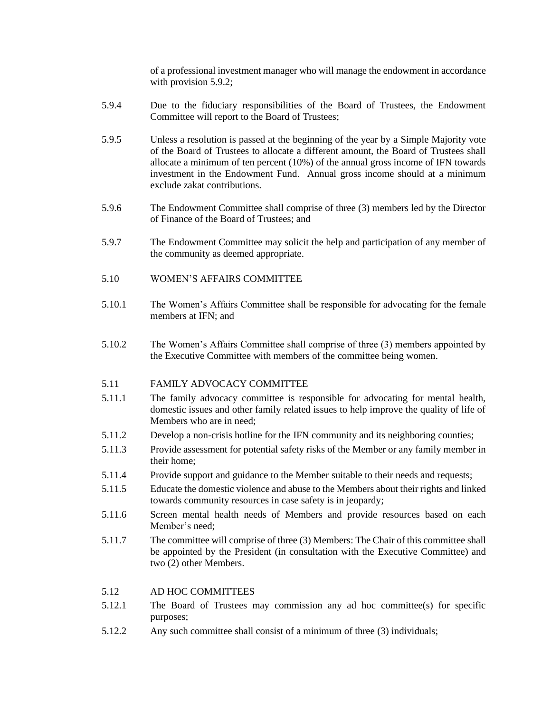of a professional investment manager who will manage the endowment in accordance with provision 5.9.2;

- 5.9.4 Due to the fiduciary responsibilities of the Board of Trustees, the Endowment Committee will report to the Board of Trustees;
- 5.9.5 Unless a resolution is passed at the beginning of the year by a Simple Majority vote of the Board of Trustees to allocate a different amount, the Board of Trustees shall allocate a minimum of ten percent (10%) of the annual gross income of IFN towards investment in the Endowment Fund. Annual gross income should at a minimum exclude zakat contributions.
- 5.9.6 The Endowment Committee shall comprise of three (3) members led by the Director of Finance of the Board of Trustees; and
- 5.9.7 The Endowment Committee may solicit the help and participation of any member of the community as deemed appropriate.
- 5.10 WOMEN'S AFFAIRS COMMITTEE
- 5.10.1 The Women's Affairs Committee shall be responsible for advocating for the female members at IFN; and
- 5.10.2 The Women's Affairs Committee shall comprise of three (3) members appointed by the Executive Committee with members of the committee being women.

#### 5.11 FAMILY ADVOCACY COMMITTEE

- 5.11.1 The family advocacy committee is responsible for advocating for mental health, domestic issues and other family related issues to help improve the quality of life of Members who are in need;
- 5.11.2 Develop a non-crisis hotline for the IFN community and its neighboring counties;
- 5.11.3 Provide assessment for potential safety risks of the Member or any family member in their home;
- 5.11.4 Provide support and guidance to the Member suitable to their needs and requests;
- 5.11.5 Educate the domestic violence and abuse to the Members about their rights and linked towards community resources in case safety is in jeopardy;
- 5.11.6 Screen mental health needs of Members and provide resources based on each Member's need;
- 5.11.7 The committee will comprise of three (3) Members: The Chair of this committee shall be appointed by the President (in consultation with the Executive Committee) and two (2) other Members.

#### 5.12 AD HOC COMMITTEES

- 5.12.1 The Board of Trustees may commission any ad hoc committee(s) for specific purposes;
- 5.12.2 Any such committee shall consist of a minimum of three (3) individuals;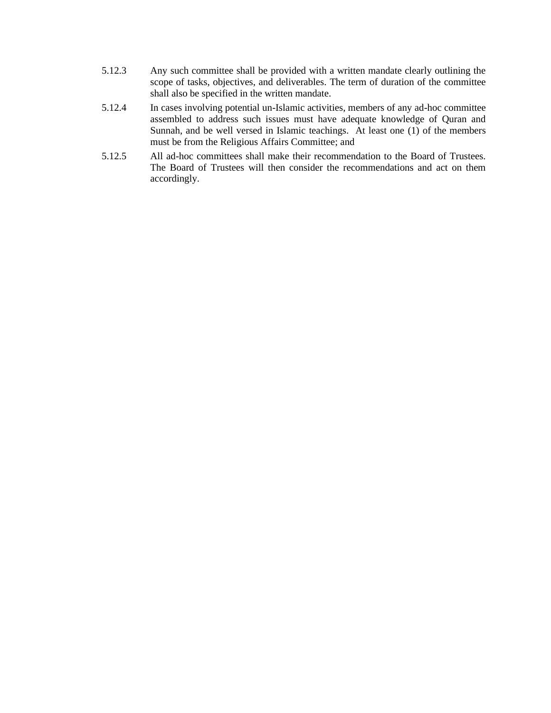- 5.12.3 Any such committee shall be provided with a written mandate clearly outlining the scope of tasks, objectives, and deliverables. The term of duration of the committee shall also be specified in the written mandate.
- 5.12.4 In cases involving potential un-Islamic activities, members of any ad-hoc committee assembled to address such issues must have adequate knowledge of Quran and Sunnah, and be well versed in Islamic teachings. At least one (1) of the members must be from the Religious Affairs Committee; and
- 5.12.5 All ad-hoc committees shall make their recommendation to the Board of Trustees. The Board of Trustees will then consider the recommendations and act on them accordingly.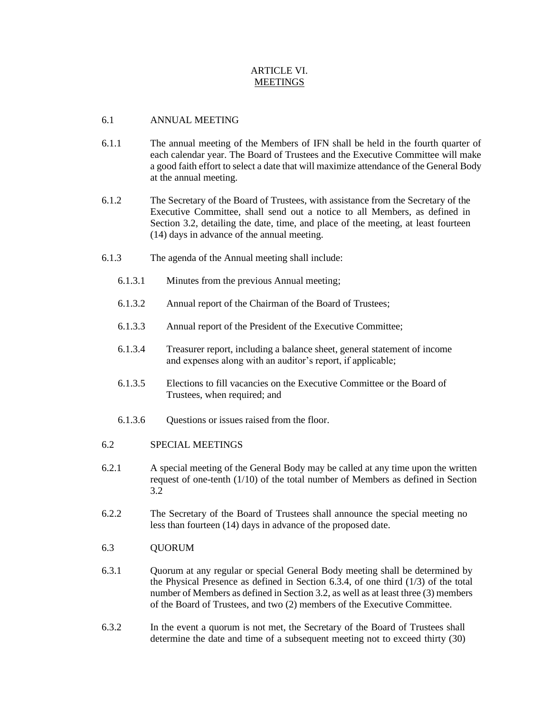## ARTICLE VI. **MEETINGS**

## 6.1 ANNUAL MEETING

- 6.1.1 The annual meeting of the Members of IFN shall be held in the fourth quarter of each calendar year. The Board of Trustees and the Executive Committee will make a good faith effort to select a date that will maximize attendance of the General Body at the annual meeting.
- 6.1.2 The Secretary of the Board of Trustees, with assistance from the Secretary of the Executive Committee, shall send out a notice to all Members, as defined in Section 3.2, detailing the date, time, and place of the meeting, at least fourteen (14) days in advance of the annual meeting.
- 6.1.3 The agenda of the Annual meeting shall include:
	- 6.1.3.1 Minutes from the previous Annual meeting;
	- 6.1.3.2 Annual report of the Chairman of the Board of Trustees;
	- 6.1.3.3 Annual report of the President of the Executive Committee;
	- 6.1.3.4 Treasurer report, including a balance sheet, general statement of income and expenses along with an auditor's report, if applicable;
	- 6.1.3.5 Elections to fill vacancies on the Executive Committee or the Board of Trustees, when required; and
	- 6.1.3.6 Questions or issues raised from the floor.
- 6.2 SPECIAL MEETINGS
- 6.2.1 A special meeting of the General Body may be called at any time upon the written request of one-tenth (1/10) of the total number of Members as defined in Section 3.2
- 6.2.2 The Secretary of the Board of Trustees shall announce the special meeting no less than fourteen (14) days in advance of the proposed date.
- 6.3 QUORUM
- 6.3.1 Quorum at any regular or special General Body meeting shall be determined by the Physical Presence as defined in Section [6.3.4,](#page-21-0) of one third (1/3) of the total number of Members as defined in Section 3.2, as well as at least three (3) members of the Board of Trustees, and two (2) members of the Executive Committee.
- 6.3.2 In the event a quorum is not met, the Secretary of the Board of Trustees shall determine the date and time of a subsequent meeting not to exceed thirty (30)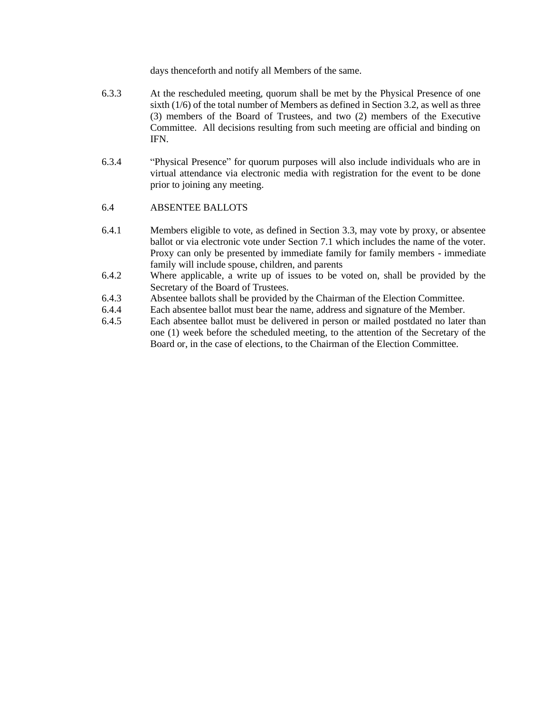days thenceforth and notify all Members of the same.

- 6.3.3 At the rescheduled meeting, quorum shall be met by the Physical Presence of one sixth (1/6) of the total number of Members as defined in Section 3.2, as well as three (3) members of the Board of Trustees, and two (2) members of the Executive Committee. All decisions resulting from such meeting are official and binding on IFN.
- <span id="page-21-0"></span>6.3.4 "Physical Presence" for quorum purposes will also include individuals who are in virtual attendance via electronic media with registration for the event to be done prior to joining any meeting.

## 6.4 ABSENTEE BALLOTS

- 6.4.1 Members eligible to vote, as defined in Section 3.3, may vote by proxy, or absentee ballot or via electronic vote under Section 7.1 which includes the name of the voter. Proxy can only be presented by immediate family for family members - immediate family will include spouse, children, and parents
- 6.4.2 Where applicable, a write up of issues to be voted on, shall be provided by the Secretary of the Board of Trustees.
- 6.4.3 Absentee ballots shall be provided by the Chairman of the Election Committee.
- 6.4.4 Each absentee ballot must bear the name, address and signature of the Member.
- 6.4.5 Each absentee ballot must be delivered in person or mailed postdated no later than one (1) week before the scheduled meeting, to the attention of the Secretary of the Board or, in the case of elections, to the Chairman of the Election Committee.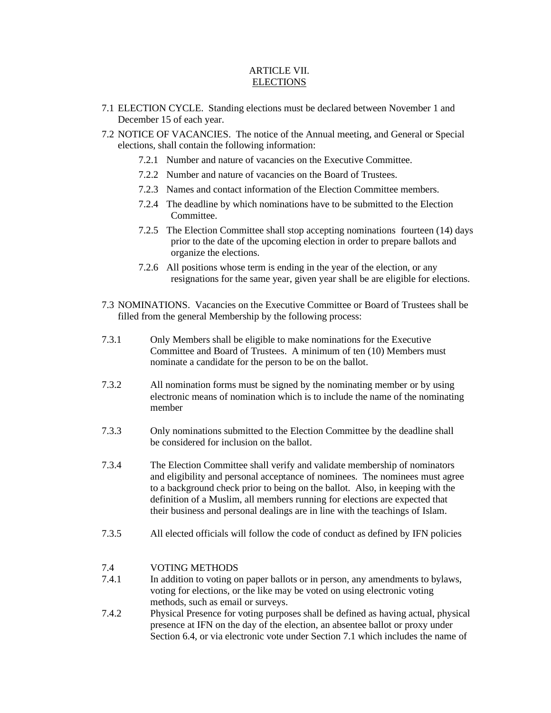## ARTICLE VII. **ELECTIONS**

- 7.1 ELECTION CYCLE. Standing elections must be declared between November 1 and December 15 of each year.
- 7.2 NOTICE OF VACANCIES. The notice of the Annual meeting, and General or Special elections, shall contain the following information:
	- 7.2.1 Number and nature of vacancies on the Executive Committee.
	- 7.2.2 Number and nature of vacancies on the Board of Trustees.
	- 7.2.3 Names and contact information of the Election Committee members.
	- 7.2.4 The deadline by which nominations have to be submitted to the Election Committee.
	- 7.2.5 The Election Committee shall stop accepting nominations fourteen (14) days prior to the date of the upcoming election in order to prepare ballots and organize the elections.
	- 7.2.6 All positions whose term is ending in the year of the election, or any resignations for the same year, given year shall be are eligible for elections.
- 7.3 NOMINATIONS. Vacancies on the Executive Committee or Board of Trustees shall be filled from the general Membership by the following process:
- 7.3.1 Only Members shall be eligible to make nominations for the Executive Committee and Board of Trustees. A minimum of ten (10) Members must nominate a candidate for the person to be on the ballot.
- 7.3.2 All nomination forms must be signed by the nominating member or by using electronic means of nomination which is to include the name of the nominating member
- 7.3.3 Only nominations submitted to the Election Committee by the deadline shall be considered for inclusion on the ballot.
- 7.3.4 The Election Committee shall verify and validate membership of nominators and eligibility and personal acceptance of nominees. The nominees must agree to a background check prior to being on the ballot. Also, in keeping with the definition of a Muslim, all members running for elections are expected that their business and personal dealings are in line with the teachings of Islam.
- 7.3.5 All elected officials will follow the code of conduct as defined by IFN policies

#### 7.4 VOTING METHODS

- 7.4.1 In addition to voting on paper ballots or in person, any amendments to bylaws, voting for elections, or the like may be voted on using electronic voting methods, such as email or surveys.
- 7.4.2 Physical Presence for voting purposes shall be defined as having actual, physical presence at IFN on the day of the election, an absentee ballot or proxy under Section 6.4, or via electronic vote under Section 7.1 which includes the name of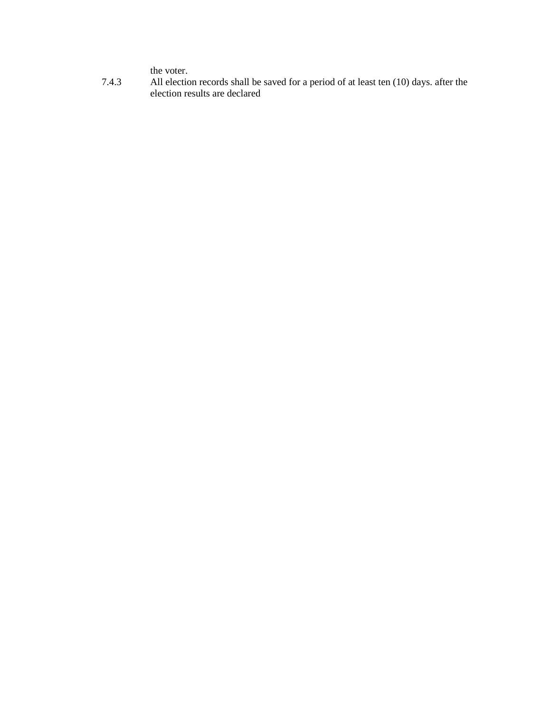the voter.

7.4.3 All election records shall be saved for a period of at least ten (10) days. after the election results are declared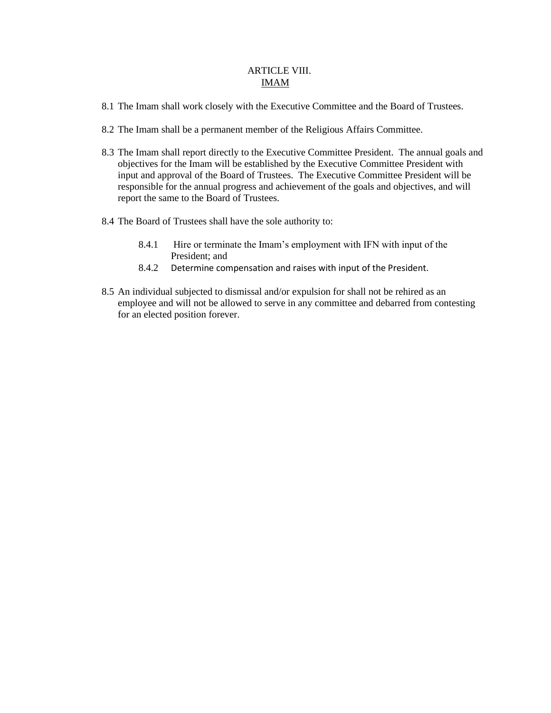## ARTICLE VIII. IMAM

- 8.1 The Imam shall work closely with the Executive Committee and the Board of Trustees.
- 8.2 The Imam shall be a permanent member of the Religious Affairs Committee.
- 8.3 The Imam shall report directly to the Executive Committee President. The annual goals and objectives for the Imam will be established by the Executive Committee President with input and approval of the Board of Trustees. The Executive Committee President will be responsible for the annual progress and achievement of the goals and objectives, and will report the same to the Board of Trustees.
- 8.4 The Board of Trustees shall have the sole authority to:
	- 8.4.1 Hire or terminate the Imam's employment with IFN with input of the President; and
	- 8.4.2 Determine compensation and raises with input of the President.
- 8.5 An individual subjected to dismissal and/or expulsion for shall not be rehired as an employee and will not be allowed to serve in any committee and debarred from contesting for an elected position forever.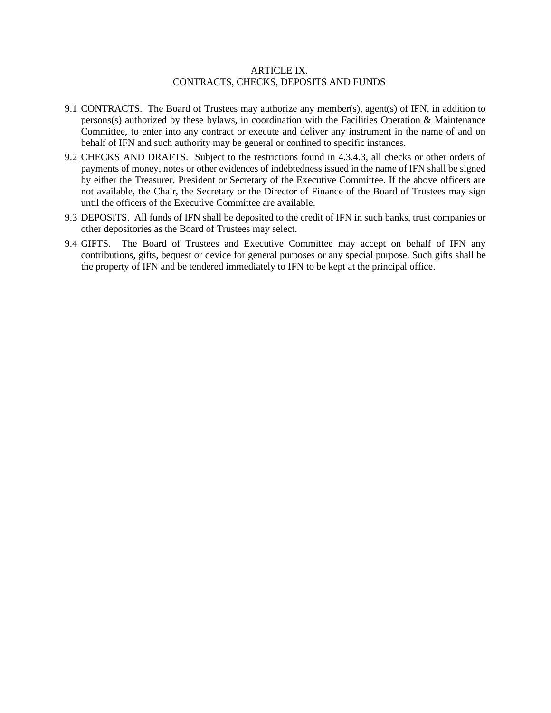#### ARTICLE IX. CONTRACTS, CHECKS, DEPOSITS AND FUNDS

- 9.1 CONTRACTS. The Board of Trustees may authorize any member(s), agent(s) of IFN, in addition to persons(s) authorized by these bylaws, in coordination with the Facilities Operation & Maintenance Committee, to enter into any contract or execute and deliver any instrument in the name of and on behalf of IFN and such authority may be general or confined to specific instances.
- 9.2 CHECKS AND DRAFTS. Subject to the restrictions found in 4.3.4.3, all checks or other orders of payments of money, notes or other evidences of indebtedness issued in the name of IFN shall be signed by either the Treasurer, President or Secretary of the Executive Committee. If the above officers are not available, the Chair, the Secretary or the Director of Finance of the Board of Trustees may sign until the officers of the Executive Committee are available.
- 9.3 DEPOSITS. All funds of IFN shall be deposited to the credit of IFN in such banks, trust companies or other depositories as the Board of Trustees may select.
- 9.4 GIFTS. The Board of Trustees and Executive Committee may accept on behalf of IFN any contributions, gifts, bequest or device for general purposes or any special purpose. Such gifts shall be the property of IFN and be tendered immediately to IFN to be kept at the principal office.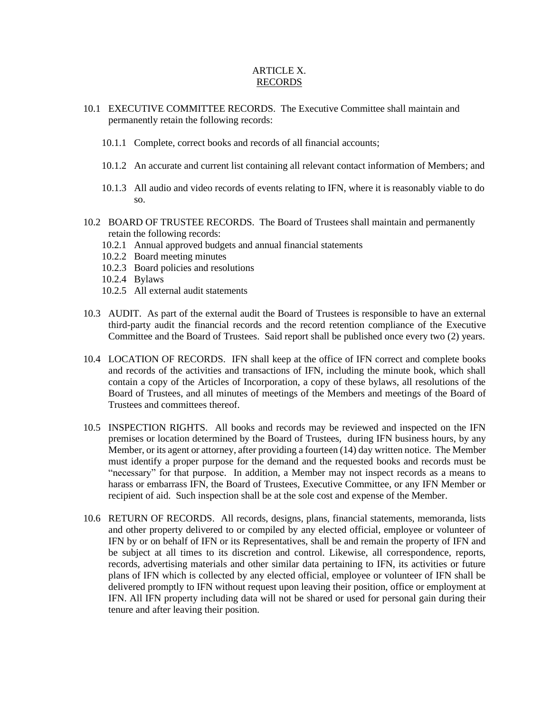## ARTICLE X. RECORDS

- 10.1 EXECUTIVE COMMITTEE RECORDS. The Executive Committee shall maintain and permanently retain the following records:
	- 10.1.1 Complete, correct books and records of all financial accounts;
	- 10.1.2 An accurate and current list containing all relevant contact information of Members; and
	- 10.1.3 All audio and video records of events relating to IFN, where it is reasonably viable to do so.
- 10.2 BOARD OF TRUSTEE RECORDS. The Board of Trustees shall maintain and permanently retain the following records:
	- 10.2.1 Annual approved budgets and annual financial statements
	- 10.2.2 Board meeting minutes
	- 10.2.3 Board policies and resolutions
	- 10.2.4 Bylaws
	- 10.2.5 All external audit statements
- 10.3 AUDIT. As part of the external audit the Board of Trustees is responsible to have an external third-party audit the financial records and the record retention compliance of the Executive Committee and the Board of Trustees. Said report shall be published once every two (2) years.
- 10.4 LOCATION OF RECORDS. IFN shall keep at the office of IFN correct and complete books and records of the activities and transactions of IFN, including the minute book, which shall contain a copy of the Articles of Incorporation, a copy of these bylaws, all resolutions of the Board of Trustees, and all minutes of meetings of the Members and meetings of the Board of Trustees and committees thereof.
- 10.5 INSPECTION RIGHTS. All books and records may be reviewed and inspected on the IFN premises or location determined by the Board of Trustees, during IFN business hours, by any Member, or its agent or attorney, after providing a fourteen (14) day written notice. The Member must identify a proper purpose for the demand and the requested books and records must be "necessary" for that purpose. In addition, a Member may not inspect records as a means to harass or embarrass IFN, the Board of Trustees, Executive Committee, or any IFN Member or recipient of aid. Such inspection shall be at the sole cost and expense of the Member.
- 10.6 RETURN OF RECORDS. All records, designs, plans, financial statements, memoranda, lists and other property delivered to or compiled by any elected official, employee or volunteer of IFN by or on behalf of IFN or its Representatives, shall be and remain the property of IFN and be subject at all times to its discretion and control. Likewise, all correspondence, reports, records, advertising materials and other similar data pertaining to IFN, its activities or future plans of IFN which is collected by any elected official, employee or volunteer of IFN shall be delivered promptly to IFN without request upon leaving their position, office or employment at IFN. All IFN property including data will not be shared or used for personal gain during their tenure and after leaving their position.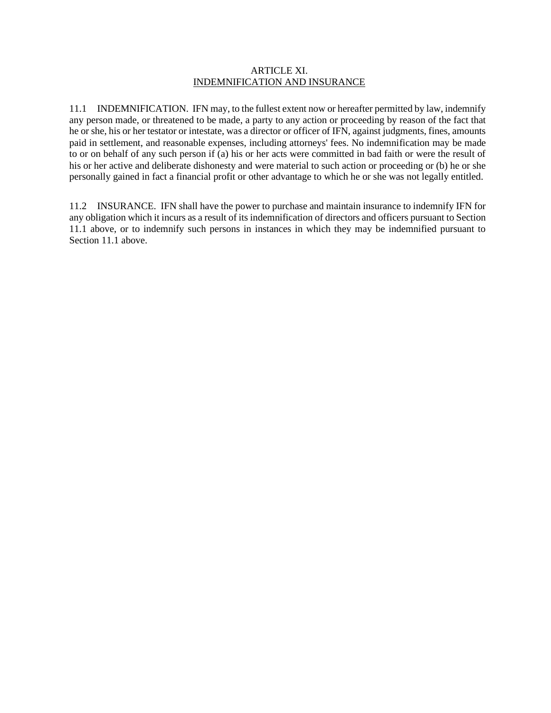#### ARTICLE XI. INDEMNIFICATION AND INSURANCE

11.1 INDEMNIFICATION. IFN may, to the fullest extent now or hereafter permitted by law, indemnify any person made, or threatened to be made, a party to any action or proceeding by reason of the fact that he or she, his or her testator or intestate, was a director or officer of IFN, against judgments, fines, amounts paid in settlement, and reasonable expenses, including attorneys' fees. No indemnification may be made to or on behalf of any such person if (a) his or her acts were committed in bad faith or were the result of his or her active and deliberate dishonesty and were material to such action or proceeding or (b) he or she personally gained in fact a financial profit or other advantage to which he or she was not legally entitled.

11.2 INSURANCE. IFN shall have the power to purchase and maintain insurance to indemnify IFN for any obligation which it incurs as a result of its indemnification of directors and officers pursuant to Section 11.1 above, or to indemnify such persons in instances in which they may be indemnified pursuant to Section 11.1 above.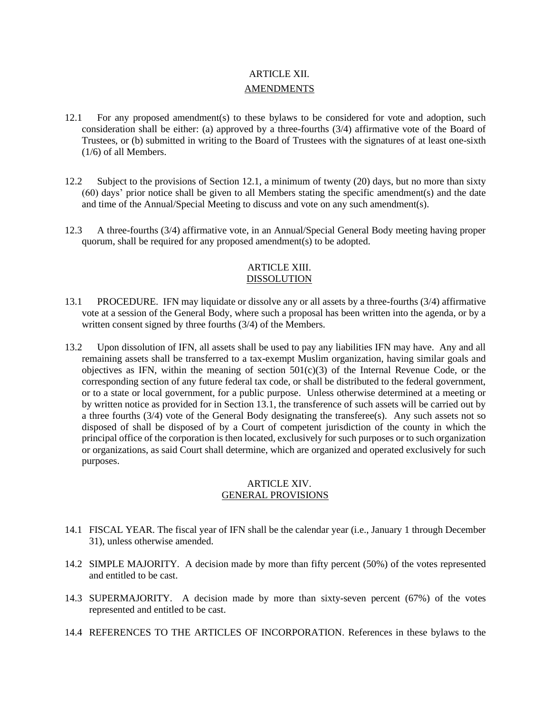# ARTICLE XII. **AMENDMENTS**

- 12.1 For any proposed amendment(s) to these bylaws to be considered for vote and adoption, such consideration shall be either: (a) approved by a three-fourths (3/4) affirmative vote of the Board of Trustees, or (b) submitted in writing to the Board of Trustees with the signatures of at least one-sixth (1/6) of all Members.
- 12.2 Subject to the provisions of Section 12.1, a minimum of twenty (20) days, but no more than sixty (60) days' prior notice shall be given to all Members stating the specific amendment(s) and the date and time of the Annual/Special Meeting to discuss and vote on any such amendment(s).
- 12.3 A three-fourths (3/4) affirmative vote, in an Annual/Special General Body meeting having proper quorum, shall be required for any proposed amendment(s) to be adopted.

## ARTICLE XIII. DISSOLUTION

- 13.1 PROCEDURE. IFN may liquidate or dissolve any or all assets by a three-fourths (3/4) affirmative vote at a session of the General Body, where such a proposal has been written into the agenda, or by a written consent signed by three fourths (3/4) of the Members.
- 13.2 Upon dissolution of IFN, all assets shall be used to pay any liabilities IFN may have. Any and all remaining assets shall be transferred to a tax-exempt Muslim organization, having similar goals and objectives as IFN, within the meaning of section  $501(c)(3)$  of the Internal Revenue Code, or the corresponding section of any future federal tax code, or shall be distributed to the federal government, or to a state or local government, for a public purpose. Unless otherwise determined at a meeting or by written notice as provided for in Section 13.1, the transference of such assets will be carried out by a three fourths (3/4) vote of the General Body designating the transferee(s). Any such assets not so disposed of shall be disposed of by a Court of competent jurisdiction of the county in which the principal office of the corporation is then located, exclusively for such purposes or to such organization or organizations, as said Court shall determine, which are organized and operated exclusively for such purposes.

## ARTICLE XIV. GENERAL PROVISIONS

- 14.1 FISCAL YEAR. The fiscal year of IFN shall be the calendar year (i.e., January 1 through December 31), unless otherwise amended.
- 14.2 SIMPLE MAJORITY. A decision made by more than fifty percent (50%) of the votes represented and entitled to be cast.
- 14.3 SUPERMAJORITY. A decision made by more than sixty-seven percent (67%) of the votes represented and entitled to be cast.
- 14.4 REFERENCES TO THE ARTICLES OF INCORPORATION. References in these bylaws to the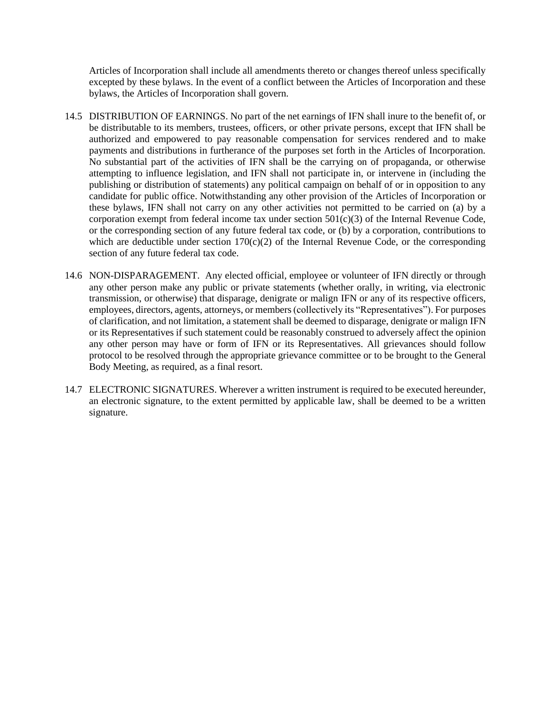Articles of Incorporation shall include all amendments thereto or changes thereof unless specifically excepted by these bylaws. In the event of a conflict between the Articles of Incorporation and these bylaws, the Articles of Incorporation shall govern.

- 14.5 DISTRIBUTION OF EARNINGS. No part of the net earnings of IFN shall inure to the benefit of, or be distributable to its members, trustees, officers, or other private persons, except that IFN shall be authorized and empowered to pay reasonable compensation for services rendered and to make payments and distributions in furtherance of the purposes set forth in the Articles of Incorporation. No substantial part of the activities of IFN shall be the carrying on of propaganda, or otherwise attempting to influence legislation, and IFN shall not participate in, or intervene in (including the publishing or distribution of statements) any political campaign on behalf of or in opposition to any candidate for public office. Notwithstanding any other provision of the Articles of Incorporation or these bylaws, IFN shall not carry on any other activities not permitted to be carried on (a) by a corporation exempt from federal income tax under section  $501(c)(3)$  of the Internal Revenue Code, or the corresponding section of any future federal tax code, or (b) by a corporation, contributions to which are deductible under section  $170(c)(2)$  of the Internal Revenue Code, or the corresponding section of any future federal tax code.
- 14.6 NON-DISPARAGEMENT. Any elected official, employee or volunteer of IFN directly or through any other person make any public or private statements (whether orally, in writing, via electronic transmission, or otherwise) that disparage, denigrate or malign IFN or any of its respective officers, employees, directors, agents, attorneys, or members(collectively its "Representatives"). For purposes of clarification, and not limitation, a statement shall be deemed to disparage, denigrate or malign IFN or its Representatives if such statement could be reasonably construed to adversely affect the opinion any other person may have or form of IFN or its Representatives. All grievances should follow protocol to be resolved through the appropriate grievance committee or to be brought to the General Body Meeting, as required, as a final resort.
- 14.7 ELECTRONIC SIGNATURES. Wherever a written instrument is required to be executed hereunder, an electronic signature, to the extent permitted by applicable law, shall be deemed to be a written signature.